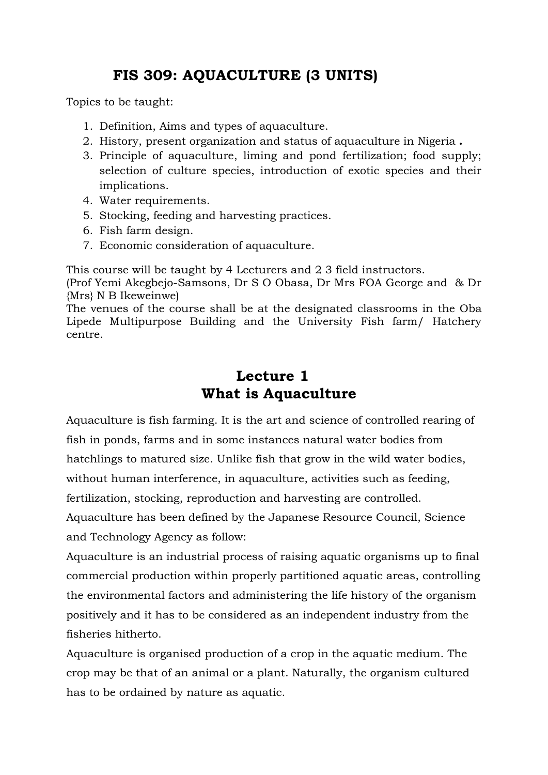## **FIS 309: AQUACULTURE (3 UNITS)**

Topics to be taught:

- 1. Definition, Aims and types of aquaculture.
- 2. History, present organization and status of aquaculture in Nigeria **.**
- 3. Principle of aquaculture, liming and pond fertilization; food supply; selection of culture species, introduction of exotic species and their implications.
- 4. Water requirements.
- 5. Stocking, feeding and harvesting practices.
- 6. Fish farm design.
- 7. Economic consideration of aquaculture.

This course will be taught by 4 Lecturers and 2 3 field instructors.

(Prof Yemi Akegbejo-Samsons, Dr S O Obasa, Dr Mrs FOA George and & Dr {Mrs} N B Ikeweinwe)

The venues of the course shall be at the designated classrooms in the Oba Lipede Multipurpose Building and the University Fish farm/ Hatchery centre.

## **Lecture 1 What is Aquaculture**

Aquaculture is fish farming. It is the art and science of controlled rearing of fish in ponds, farms and in some instances natural water bodies from hatchlings to matured size. Unlike fish that grow in the wild water bodies, without human interference, in aquaculture, activities such as feeding,

fertilization, stocking, reproduction and harvesting are controlled.

Aquaculture has been defined by the Japanese Resource Council, Science and Technology Agency as follow:

Aquaculture is an industrial process of raising aquatic organisms up to final commercial production within properly partitioned aquatic areas, controlling the environmental factors and administering the life history of the organism positively and it has to be considered as an independent industry from the fisheries hitherto.

Aquaculture is organised production of a crop in the aquatic medium. The crop may be that of an animal or a plant. Naturally, the organism cultured has to be ordained by nature as aquatic.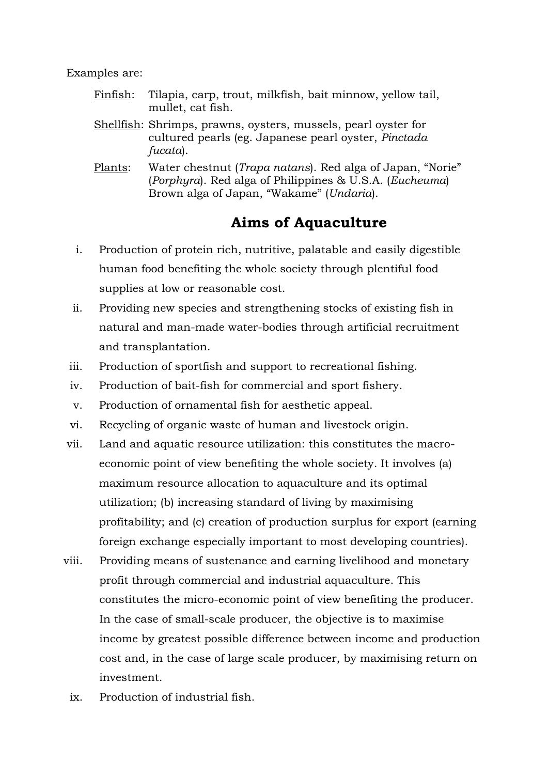Examples are:

- Finfish: Tilapia, carp, trout, milkfish, bait minnow, yellow tail, mullet, cat fish.
- Shellfish: Shrimps, prawns, oysters, mussels, pearl oyster for cultured pearls (eg. Japanese pearl oyster, *Pinctada fucata*).
- Plants: Water chestnut (*Trapa natans*). Red alga of Japan, "Norie" (*Porphyra*). Red alga of Philippines & U.S.A. (*Eucheuma*) Brown alga of Japan, "Wakame" (*Undaria*).

### **Aims of Aquaculture**

- i. Production of protein rich, nutritive, palatable and easily digestible human food benefiting the whole society through plentiful food supplies at low or reasonable cost.
- ii. Providing new species and strengthening stocks of existing fish in natural and man-made water-bodies through artificial recruitment and transplantation.
- iii. Production of sportfish and support to recreational fishing.
- iv. Production of bait-fish for commercial and sport fishery.
- v. Production of ornamental fish for aesthetic appeal.
- vi. Recycling of organic waste of human and livestock origin.
- vii. Land and aquatic resource utilization: this constitutes the macroeconomic point of view benefiting the whole society. It involves (a) maximum resource allocation to aquaculture and its optimal utilization; (b) increasing standard of living by maximising profitability; and (c) creation of production surplus for export (earning foreign exchange especially important to most developing countries).
- viii. Providing means of sustenance and earning livelihood and monetary profit through commercial and industrial aquaculture. This constitutes the micro-economic point of view benefiting the producer. In the case of small-scale producer, the objective is to maximise income by greatest possible difference between income and production cost and, in the case of large scale producer, by maximising return on investment.
	- ix. Production of industrial fish.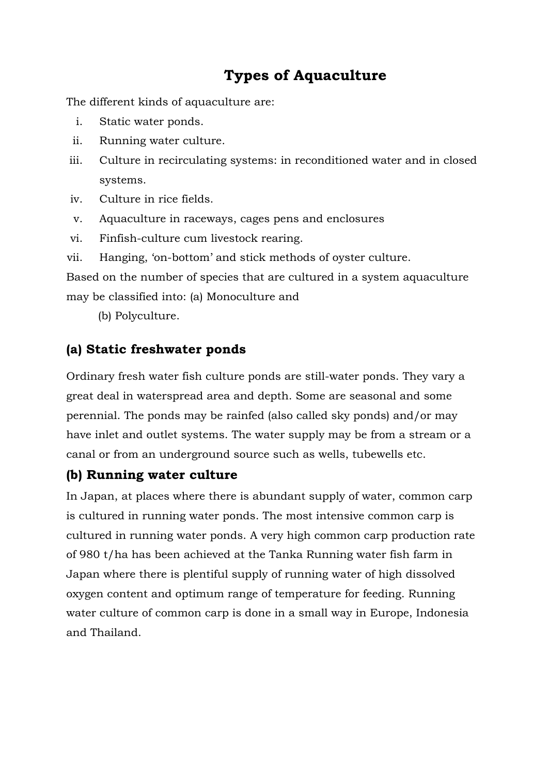# **Types of Aquaculture**

The different kinds of aquaculture are:

- i. Static water ponds.
- ii. Running water culture.
- iii. Culture in recirculating systems: in reconditioned water and in closed systems.
- iv. Culture in rice fields.
- v. Aquaculture in raceways, cages pens and enclosures
- vi. Finfish-culture cum livestock rearing.
- vii. Hanging, "on-bottom" and stick methods of oyster culture.

Based on the number of species that are cultured in a system aquaculture may be classified into: (a) Monoculture and

(b) Polyculture.

#### **(a) Static freshwater ponds**

Ordinary fresh water fish culture ponds are still-water ponds. They vary a great deal in waterspread area and depth. Some are seasonal and some perennial. The ponds may be rainfed (also called sky ponds) and/or may have inlet and outlet systems. The water supply may be from a stream or a canal or from an underground source such as wells, tubewells etc.

### **(b) Running water culture**

In Japan, at places where there is abundant supply of water, common carp is cultured in running water ponds. The most intensive common carp is cultured in running water ponds. A very high common carp production rate of 980 t/ha has been achieved at the Tanka Running water fish farm in Japan where there is plentiful supply of running water of high dissolved oxygen content and optimum range of temperature for feeding. Running water culture of common carp is done in a small way in Europe, Indonesia and Thailand.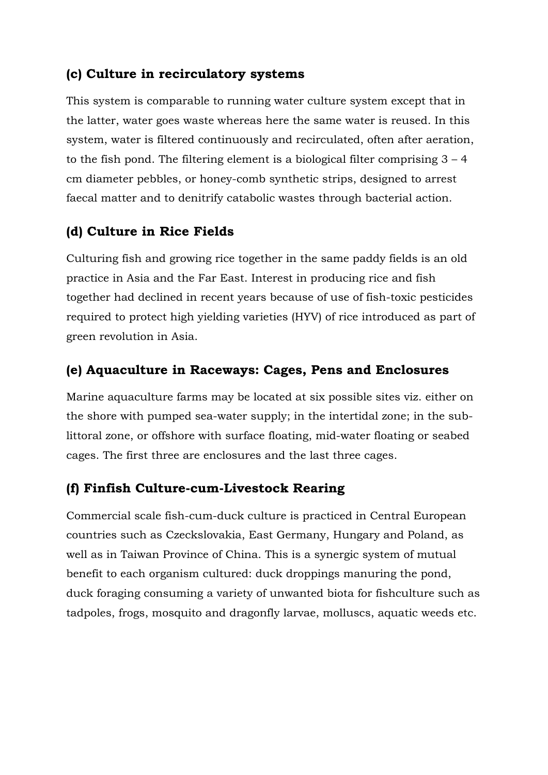#### **(c) Culture in recirculatory systems**

This system is comparable to running water culture system except that in the latter, water goes waste whereas here the same water is reused. In this system, water is filtered continuously and recirculated, often after aeration, to the fish pond. The filtering element is a biological filter comprising  $3 - 4$ cm diameter pebbles, or honey-comb synthetic strips, designed to arrest faecal matter and to denitrify catabolic wastes through bacterial action.

#### **(d) Culture in Rice Fields**

Culturing fish and growing rice together in the same paddy fields is an old practice in Asia and the Far East. Interest in producing rice and fish together had declined in recent years because of use of fish-toxic pesticides required to protect high yielding varieties (HYV) of rice introduced as part of green revolution in Asia.

#### **(e) Aquaculture in Raceways: Cages, Pens and Enclosures**

Marine aquaculture farms may be located at six possible sites viz. either on the shore with pumped sea-water supply; in the intertidal zone; in the sublittoral zone, or offshore with surface floating, mid-water floating or seabed cages. The first three are enclosures and the last three cages.

#### **(f) Finfish Culture-cum-Livestock Rearing**

Commercial scale fish-cum-duck culture is practiced in Central European countries such as Czeckslovakia, East Germany, Hungary and Poland, as well as in Taiwan Province of China. This is a synergic system of mutual benefit to each organism cultured: duck droppings manuring the pond, duck foraging consuming a variety of unwanted biota for fishculture such as tadpoles, frogs, mosquito and dragonfly larvae, molluscs, aquatic weeds etc.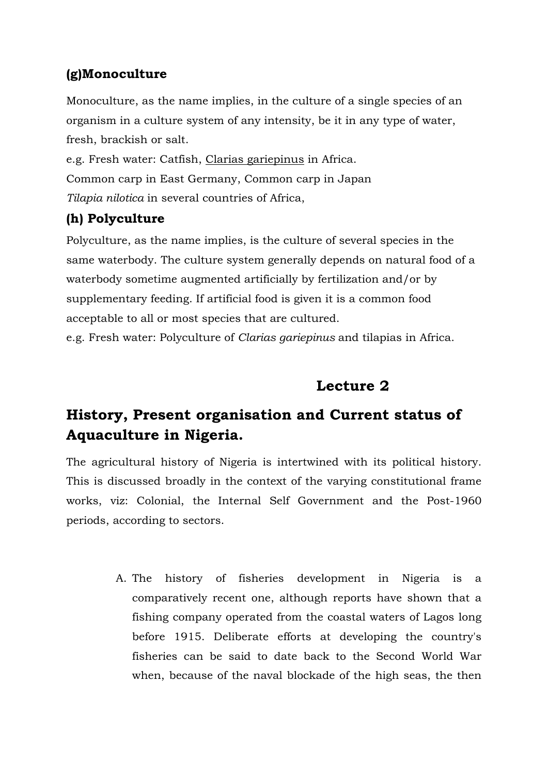### **(g)Monoculture**

Monoculture, as the name implies, in the culture of a single species of an organism in a culture system of any intensity, be it in any type of water, fresh, brackish or salt.

e.g. Fresh water: Catfish, Clarias gariepinus in Africa. Common carp in East Germany, Common carp in Japan *Tilapia nilotica* in several countries of Africa,

### **(h) Polyculture**

Polyculture, as the name implies, is the culture of several species in the same waterbody. The culture system generally depends on natural food of a waterbody sometime augmented artificially by fertilization and/or by supplementary feeding. If artificial food is given it is a common food acceptable to all or most species that are cultured.

e.g. Fresh water: Polyculture of *Clarias gariepinus* and tilapias in Africa.

## **Lecture 2**

# **History, Present organisation and Current status of Aquaculture in Nigeria.**

The agricultural history of Nigeria is intertwined with its political history. This is discussed broadly in the context of the varying constitutional frame works, viz: Colonial, the Internal Self Government and the Post-1960 periods, according to sectors.

> A. The history of fisheries development in Nigeria is a comparatively recent one, although reports have shown that a fishing company operated from the coastal waters of Lagos long before 1915. Deliberate efforts at developing the country's fisheries can be said to date back to the Second World War when, because of the naval blockade of the high seas, the then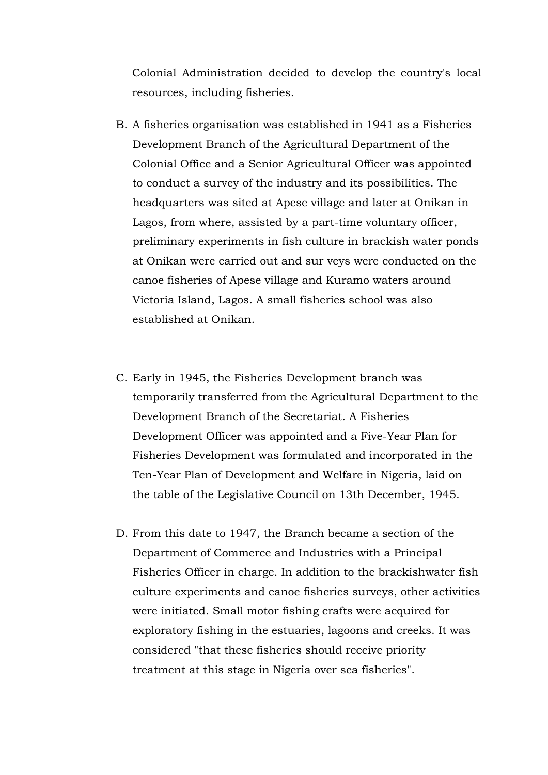Colonial Administration decided to develop the country's local resources, including fisheries.

- B. A fisheries organisation was established in 1941 as a Fisheries Development Branch of the Agricultural Department of the Colonial Office and a Senior Agricultural Officer was appointed to conduct a survey of the industry and its possibilities. The headquarters was sited at Apese village and later at Onikan in Lagos, from where, assisted by a part-time voluntary officer, preliminary experiments in fish culture in brackish water ponds at Onikan were carried out and sur veys were conducted on the canoe fisheries of Apese village and Kuramo waters around Victoria Island, Lagos. A small fisheries school was also established at Onikan.
- C. Early in 1945, the Fisheries Development branch was temporarily transferred from the Agricultural Department to the Development Branch of the Secretariat. A Fisheries Development Officer was appointed and a Five-Year Plan for Fisheries Development was formulated and incorporated in the Ten-Year Plan of Development and Welfare in Nigeria, laid on the table of the Legislative Council on 13th December, 1945.
- D. From this date to 1947, the Branch became a section of the Department of Commerce and Industries with a Principal Fisheries Officer in charge. In addition to the brackishwater fish culture experiments and canoe fisheries surveys, other activities were initiated. Small motor fishing crafts were acquired for exploratory fishing in the estuaries, lagoons and creeks. It was considered "that these fisheries should receive priority treatment at this stage in Nigeria over sea fisheries".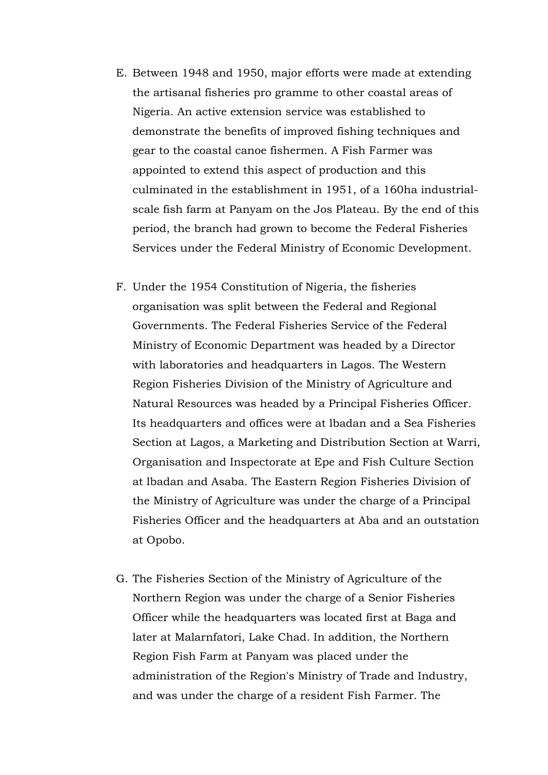- E. Between 1948 and 1950, major efforts were made at extending the artisanal fisheries pro gramme to other coastal areas of Nigeria. An active extension service was established to demonstrate the benefits of improved fishing techniques and gear to the coastal canoe fishermen. A Fish Farmer was appointed to extend this aspect of production and this culminated in the establishment in 1951, of a 160ha industrialscale fish farm at Panyam on the Jos Plateau. By the end of this period, the branch had grown to become the Federal Fisheries Services under the Federal Ministry of Economic Development.
- F. Under the 1954 Constitution of Nigeria, the fisheries organisation was split between the Federal and Regional Governments. The Federal Fisheries Service of the Federal Ministry of Economic Department was headed by a Director with laboratories and headquarters in Lagos. The Western Region Fisheries Division of the Ministry of Agriculture and Natural Resources was headed by a Principal Fisheries Officer. Its headquarters and offices were at lbadan and a Sea Fisheries Section at Lagos, a Marketing and Distribution Section at Warri, Organisation and Inspectorate at Epe and Fish Culture Section at lbadan and Asaba. The Eastern Region Fisheries Division of the Ministry of Agriculture was under the charge of a Principal Fisheries Officer and the headquarters at Aba and an outstation at Opobo.
- G. The Fisheries Section of the Ministry of Agriculture of the Northern Region was under the charge of a Senior Fisheries Officer while the headquarters was located first at Baga and later at Malarnfatori, Lake Chad. In addition, the Northern Region Fish Farm at Panyam was placed under the administration of the Region's Ministry of Trade and Industry, and was under the charge of a resident Fish Farmer. The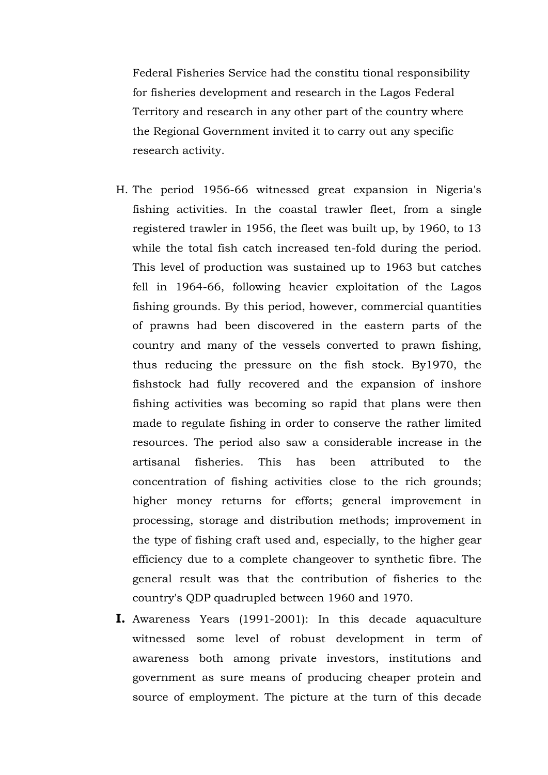Federal Fisheries Service had the constitu tional responsibility for fisheries development and research in the Lagos Federal Territory and research in any other part of the country where the Regional Government invited it to carry out any specific research activity.

- H. The period 1956-66 witnessed great expansion in Nigeria's fishing activities. In the coastal trawler fleet, from a single registered trawler in 1956, the fleet was built up, by 1960, to 13 while the total fish catch increased ten-fold during the period. This level of production was sustained up to 1963 but catches fell in 1964-66, following heavier exploitation of the Lagos fishing grounds. By this period, however, commercial quantities of prawns had been discovered in the eastern parts of the country and many of the vessels converted to prawn fishing, thus reducing the pressure on the fish stock. By1970, the fishstock had fully recovered and the expansion of inshore fishing activities was becoming so rapid that plans were then made to regulate fishing in order to conserve the rather limited resources. The period also saw a considerable increase in the artisanal fisheries. This has been attributed to the concentration of fishing activities close to the rich grounds; higher money returns for efforts; general improvement in processing, storage and distribution methods; improvement in the type of fishing craft used and, especially, to the higher gear efficiency due to a complete changeover to synthetic fibre. The general result was that the contribution of fisheries to the country's QDP quadrupled between 1960 and 1970.
- **I.** Awareness Years (1991-2001): In this decade aquaculture witnessed some level of robust development in term of awareness both among private investors, institutions and government as sure means of producing cheaper protein and source of employment. The picture at the turn of this decade